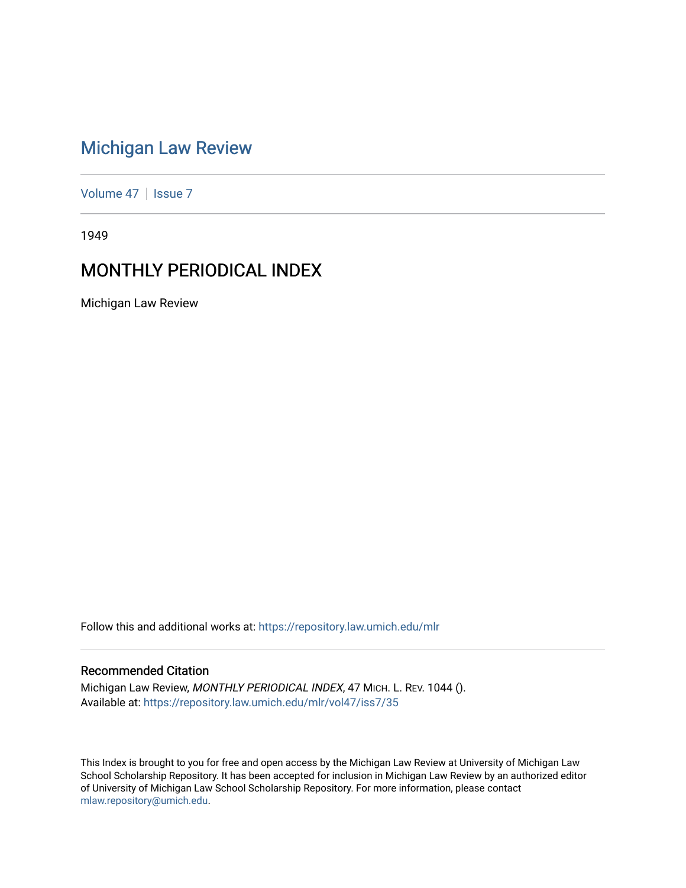# [Michigan Law Review](https://repository.law.umich.edu/mlr)

[Volume 47](https://repository.law.umich.edu/mlr/vol47) | [Issue 7](https://repository.law.umich.edu/mlr/vol47/iss7)

1949

# MONTHLY PERIODICAL INDEX

Michigan Law Review

Follow this and additional works at: [https://repository.law.umich.edu/mlr](https://repository.law.umich.edu/mlr?utm_source=repository.law.umich.edu%2Fmlr%2Fvol47%2Fiss7%2F35&utm_medium=PDF&utm_campaign=PDFCoverPages) 

## Recommended Citation

Michigan Law Review, MONTHLY PERIODICAL INDEX, 47 MICH. L. REV. 1044 (). Available at: [https://repository.law.umich.edu/mlr/vol47/iss7/35](https://repository.law.umich.edu/mlr/vol47/iss7/35?utm_source=repository.law.umich.edu%2Fmlr%2Fvol47%2Fiss7%2F35&utm_medium=PDF&utm_campaign=PDFCoverPages) 

This Index is brought to you for free and open access by the Michigan Law Review at University of Michigan Law School Scholarship Repository. It has been accepted for inclusion in Michigan Law Review by an authorized editor of University of Michigan Law School Scholarship Repository. For more information, please contact [mlaw.repository@umich.edu.](mailto:mlaw.repository@umich.edu)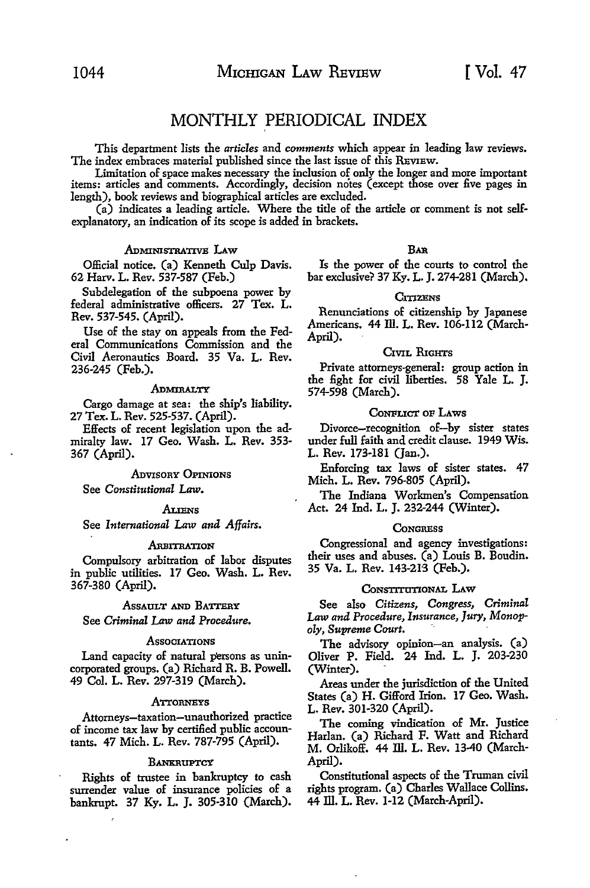## MONTHLY PERIODICAL INDEX '

This department lists the *articles* and *comments* which appear in leading law reviews. The index embraces material published since the last issue of this REVIEW.

Limitation of space makes necessary the inclusion of only the longer and more important items: articles and comments. Accordingly, decision notes (except those over five pages in length), book reviews and biographical articles are excluded.

(a) indicates a leading article. Where the title of the article or comment is not selfexplanatory, an indication of its scope is added in brackets.

## **ADMINISTRATIVE LAW**

Official notice. (a) Kenneth Culp Davis. 62 Harv. L. Rev. 537-587 (Feb.)

Subdelegation of the subpoena power by federal administrative officers. 27 Tex. L. Rev. 537-545. (April).

Use of the stay on appeals from the Federal Communications Commission and the Civil Aeronautics Board. 35 Va. L. Rev. 236-245 (Feb.).

## .ADMIRALTY

Cargo damage at sea: the ship's liability. 27 Tex. L. Rev. 525-537. (April).

Effects of recent legislation upon the admiralty law. 17 Geo. Wash. L. Rev. 353- 367 (April).

## .ADVISORY OPINIONS

See *Constitutional* Law.

## **ALIENS**

See *International* Law *and Affairs.* 

## ARBITRATION

Compulsory arbitration of labor disputes in public utilities. 17 Geo. Wash. L. Rev. 367-380 (April).

AssAULT AND BATTERY

See *Criminal* Law *and Procedure.* 

## Associations

Land capacity of natural persons as unincorporated groups. (a) Richard R. B. Powell. 49 Col. L. Rev. 297-319 (March).

#### **ATTORNEYS**

Attomeys-taxation-unauthorized practice of income tax law by certified public accountants. 47 Mich. L. Rev. 787-795 (April).

#### **BANKRUPTCY**

Rights of trustee in bankruptcy to cash surrender value of insurance policies of a bankrupt. 37 Ky. L. J. 305-310 (March).

## BAR

Is the power of the courts to control the bar exclusive? 37 Ky. L, J. 274-281 (March).

#### **CITIZENS**

Renunciations of citizenship by Japanese Americans. 44 Ill. L. Rev. 106-112 (March-April).

#### CIVIL RIGHTS

Private attomeys-general: group action in the fight for civil liberties. 58 Yale L. J. 574-598 (March).

## CoNPLICT OP LAWS

Divorce-recognition of-by sister states under full faith and credit clause. 1949 Wis. L. Rev. 173-181 (Jan.).

Enforcing tax laws of sister states. 47 Mich. L. Rev. 796-805 (April).

The Indiana Workmen's Compensation Act. 24 Ind. L. J. 232-244 (Winter).

#### **CONGRESS**

Congressional and agency investigations: their uses and abuses. (a) Louis B. Boudin. 35 Va. L. Rev. 143-213 (Feb.).

#### CONSTITUTIONAL LAW

See also *Citizens, Congress, Criminal*  Law *and Procedure, Insurance, Jury, Monopoly, Supreme Court.* 

The advisory opinion-an analysis. (a) Oliver P. Field. 24 Ind. L. J. 203-230 (Winter).

Areas under the jurisdiction of the United States (a) H. Gifford Irion. 17 Geo. Wash. L. Rev. 301-320 (April).

The coming vindication of Mr. Justice Harlan. (a) Richard F. Watt and Richard M. Orlikoff. 44 Ill. L. Rev. 13-40 (March-April).

Constitutional aspects of the Truman civil rights program. (a) Charles Wallace Collins. 44 Ill. L. Rev. 1-12 (March-April).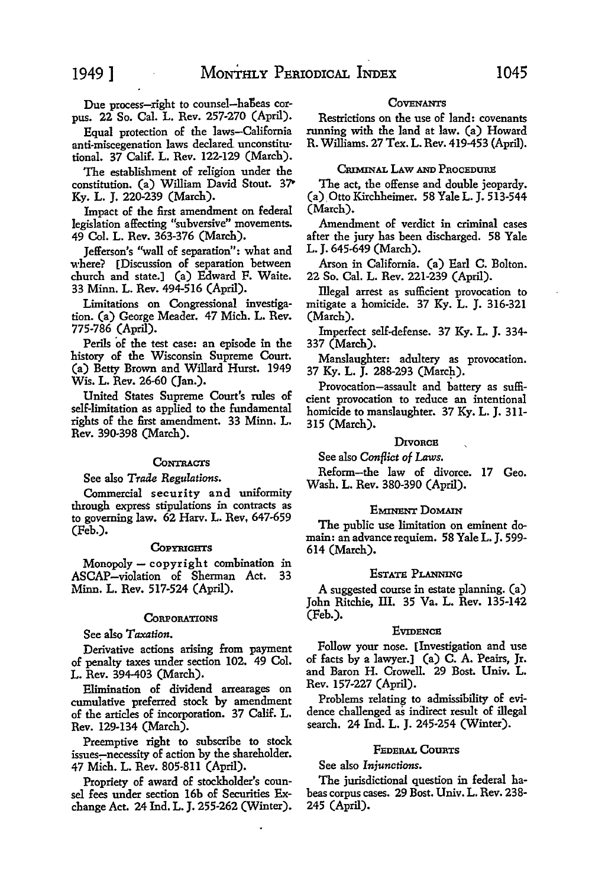Due process-right to counsel-habeas corpus. 22 So. Cal. L. Rev. 257-270 (April).

Equal protection of the laws-California anti-miscegenation laws declared unconstitu· tional. 37 Calif. L. Rev. 122-129 (March).

The establishment of religion under the constitution. (a) William David Stout. 37 Ky. L. J. 220-239 (March).

Impact of the first amendment on federal legislation affecting "subversive" movements. 49 Col. L. Rev. 363-376 (March).

Jefferson's "wall of separation": what and where? [Discussion of separation between church and state.] (a) Edward F. Waite. 33 Minn. L. Rev. 494-516 (April).

Limitations on Congressional investigation. (a) George Meader, 47 Mich. L. Rev. 775-786 (April).

Perils of the test case: an episode in the history of the Wisconsin Supreme Court. (a) Betty Brown and Willard Hurst. 1949 Wis. L. Rev. 26-60 (Jan.).

United States Supreme Court's rules of self-limitation as applied to the fundamental rights of the first amendment. 33 Minn. L. Rev. 390-398 (March).

## **CONTRACTS**

See also *Trade Regulations.* 

Commercial security and uniformity through express stipulations in contracts as to governing law. 62 Harv. L. Rev, 647-659 (Feb.).

## **COPYRIGHTS**

Monopoly - copyright combination in ASCAP-violation of Sherman Act. 33 Minn. L. Rev. 517-524 (April).

#### **CORPORATIONS**

See also *Taxation.* 

Derivative actions arising from payment of penalty taxes under section 102. 49 Col. L. Rev. 394-403 (March).

Elimination of dividend arrearages on cumulative preferred stock by amendment of the articles of incorporation. 37 Calif. L. Rev. 129-134 (March).

Preemptive right to subscribe to stock issues-necessity of action by the shareholder. 47 Mich. L. Rev. 805-811 (April).

Propriety of award of stockholder's counsel fees under section 16b of Securities Exchange Act. 24 Ind. L. J. 255-262 (Winter).

## **COVENANTS**

Restrictions on the use of land: covenants running with the land at law. (a) Howard R. Williams. 27 Tex. L. Rev. 419-453 (April).

## CRIMINAL LAw AND PnocEDURE

The act, the offense and double jeopardy. (a). Otto Kirchheimer. 58 Yale L. J. 513-544 (March).

Amendment of verdict in criminal cases after the jury has been discharged. 58 Yale L. J. 645-649 (March).

Arson in California. (a) Earl C. Bolton. 22 So. Cal. L. Rev. 221-239 (April).

Illegal arrest as sufficient provocation to mitigate a homicide. 37 Ky. L. J. 316-321 (March).

Imperfect self-defense. 37 Ky. L. J. 334- 337 (March).

Manslaughter: adultery as provocation. 37 Ky. L. J. 288-293 (March).

Provocation-assault and battery as sufficient provocation to reduce an intentional homicide to manslaughter. 37 Ky. L. J. 311- 315 (March).

#### DIVORCE

See also *Conflict of Laws*.

Reform-the law of divorce. 17 Geo. Wash. L. Rev. 380-390 (April).

## EMINENT DOMAIN

The public use limitation on eminent domain: an advance requiem. 58 Yale L. J. 599-614 (March).

## EsTATE PLANNING

A suggested course in estate planning. (a) John Ritchie, III. 35 Va. L. Rev. 135-142 (Feb.).

#### **EVIDENCE**

Follow your nose. [Investigation and use of facts by a lawyer.] (a) C. A. Peairs, Jr. and Baron H. Crowell. 29 Bost. Univ. L. Rev. 157-227 (April).

Problems relating to admissibility of evidence challenged as indirect result of illegal search. 24 Ind. L. J. 245-254 (Winter).

#### FEDERAL COURTS

See also *Injunctions.* 

The jurisdictional question in federal habeas corpus cases. 29 Bost. Univ. L. Rev. 238- 245 (April).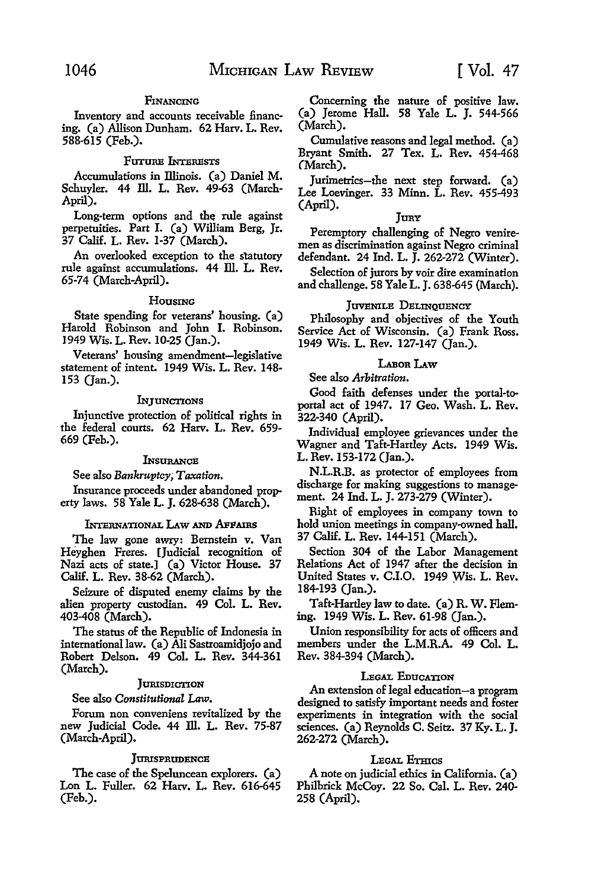## FINANCING

Inventory and accounts receivable financing. (a) Allison Dunham. 62 Harv. L. Rev. 588-615 (Feb.).

#### FUTURE INTERESTS

Accumulations in Illinois. (a) Daniel M. Schuyler. 44 Ill. L. Rev. 49-63 (March-April).

Long-term options and the rule against perpetuities. Part I. (a) William Berg, Jr. 37 Calif. L. Rev. 1-37 (March).

An overlooked exception to the slatutory rule against accumulations. 44 Ill. L. Rev. 65-74 (March-April).

#### HOUSING

State spending for veterans' housing. (a) Harold Robinson and John I. Robinson. 1949 Wis. L. Rev. 10-25 (Jan.).

Veterans' housing amendment-legislative statement of intent. 1949 **Wis. L.** Rev. 148- 153 (Jan.),

## INJUNCTIONS

Injunctive protection of political rights in the federal courts. 62 Harv. L. Rev. 659- 669 (Feb.).

## **INSURANCE**

See also *Bankruptcy; Taxation.* 

Insurance proceeds under abandoned property laws. 58 Yale L. J. 628-638 (March).

#### International Law and Affairs

The law gone awry: Bernstein v. Van Heyghen Freres. [Judicial recognition of Nazi acts of state.] (a) Victor House. 37 Calif. L. Rev. 38-62 (March).

Seizure of disputed enemy claims by the alien property custodian. 49 Col. L. Rev. 403-408 (March).

The status of the Republic of Indonesia in international law. (a) Ali Sastroamidjojo and Robert Delson. 49 Col. L. Rev. 344-361 (March).

## **JURISDICTION**

## See also *Constitutional* Law.

Forum non conveniens revitalized by the new Judicial Code. 44 ill. L. Rev. 75-87 (March-April).

## Jurisprudence

The case of the Speluncean explorers. (a) Lon L. Fuller. 62 Harv. L. Rev. 616-645 (Feb.).

Concerning the nature of positive law. (a) Jerome Hall. 58 Yale L. J. 544-566 (March).

Cumulative reasons and legal method. (a) Bryant Smith. 27 Tex. L. Rev. 454-468 (March).

Jurimetrics-the next step forward. (a) Lee Loevinger. 33 Minn. L. Rev. 455-493 (April).

## JURY

Peremptory challenging of Negro veniremen as discrimination against Negro criminal defendant. 24 Ind. L. J. 262-272 (Winter).

Selection of jurors by voir dire examination and challenge. 58 YaleL. J. 638-645 (March).

## JUVENILE DELINQUENCY

Philosophy and objectives of the Youth Service Act of Wisconsin. (a) Frank Ross. 1949 Wis. L. Rev. 127-147 (Jan.).

## LABOR LAW

See also *Arbitration.* 

Good faith defenses under the portal-toportal act of 1947. 17 Geo. Wash. L. Rev. 322-340 (April).

Individual employee grievances under the Wagner and Taft-Hartley Acts. 1949 Wis. L. Rev. 153-172 (Jan.).

N.L.R.B. as protector of employees from discharge for making suggestions to management. 24 Ind. L. J. 273-279 (Winter).

Right of employees in company town to hold union meetings in company-owned hall. 37 Calif. L. Rev. 144-151 (March).

Section 304 of the Labor Management Relations Act of 1947 after the decision in United States v. C.I.O. 1949 Wis. L. Rev. 184-193 (Jan.).

Taft-Hartley law to date. (a) R. W. Fleming. 1949 Wis. L. Rev. 61-98 (Jan.).

Union responsibility for acts of officers and members under the L.M.R.A. 49 Col. L. Rev. 384-394 (March).

#### LEGAL EDUCATION

An extension of legal education-a program designed to satisfy important needs and foster experiments in integration with the social sciences. (a) Reynolds C. Seitz. 37 Ky. L. J. 262-272 (March).

## LEGAL ETHICS

A note on judicial ethics in California. (a) Philbrick McCoy. 22 So. Cal. L. Rev. 240- 258 (April).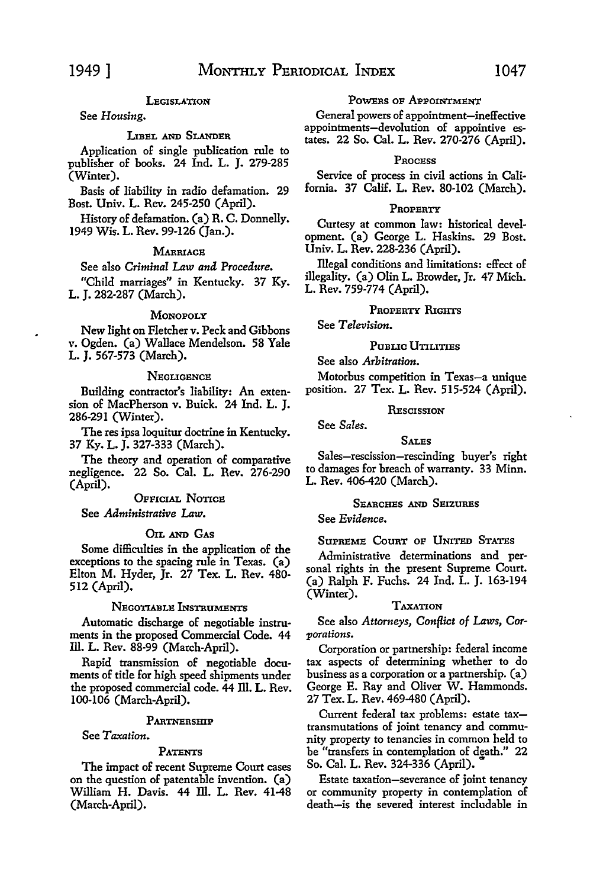## **LEGISLATION**

See *Housing.* 

## LIBEL AND SLANDER

Application of single publication rule to publisher of books. 24 Ind. L. J. 279-285 (Winter).

Basis of liability in radio defamation. 29 Bost. Univ. L. Rev. 245-250 (April).

History of defamation. (a) R. C. Donnelly. 1949 Wis. L. Rev. 99-126 (Jan.).

## **MARRIAGE**

See also *Criminal Law and Procedure.* 

"Child marriages" in Kentucky. 37 Ky. L. J. 282-287 (March).

## **MONOPOLY**

New light on Fletcher v. Peck and Gibbons v. Ogden. (a) Wallace Mendelson. 58 Yale L. J. 567-573 (March).

## **NEGLIGENCE**

Building contractor's liability: An extension of MacPherson v. Buick. 24 Ind. L. J. 286-291 (Winter).

The res ipsa loquitur doctrine in Kentucky. 37 Ky. L. J. 327-333 (March).

The theory and operation of comparative negligence. 22 So. Cal. L. Rev. 276-290 (April).

## OFFICIAL NOTICE

See *Administrative Law.* 

## OIL AND GAS

Some difficulties in the application of the exceptions to the spacing rule in Texas. (a) Elton M. Hyder, Jr. 27 Tex. L. Rev. 480- 512 (April).

## NEGOTIABLE INSTRUMENTS

Automatic discharge of negotiable instruments in the proposed Commercial Code. 44 lli. L. Rev. 88-99 (March-April).

Rapid transmission of negotiable documents of title for high speed shipments under the proposed commercial code. 44 Ill. L. Rev. 100-106 (March-April).

## PARTNERSHIP

See *Taxation.* 

## PATENTS

The impact of recent Supreme Court cases on the question of patentable invention. (a) William H. Davis. 44 Ill. L. Rev. 41-48 (March-April).

## POWERS OF APPOINTMENT

General powers of appointment-ineffective appointments-devolution of appointive estates. 22 So. Cal. L. Rev. 270-276 (April).

#### PROCESS

Service of process in civil actions in California. 37 Calif. L. Rev. 80-102 (March).

#### **PROPERTY**

Curtesy at common law: historical development. (a) George L. Haskins. 29 Bost. Univ. L. Rev. 228-236 (April).

Illegal conditions and limitations: effect of illegality. (a) Olin L. Browder, Jr. 47 Mich. L. Rev. 759-774 (April).

#### PROPERTY RIGHTS

See *Television.* 

## PuBLIC UTILITIES

See also *Arbitration.* 

Motorbus competition in Texas-a unique position. 27 Tex. L. Rev. 515-524 (April).

## **RESCISSION**

SALES

Sales-rescission-rescinding buyer's right to damages for breach of warranty. 33 Minn. L. Rev. 406-420 (March).

#### SEARCHES AND SEIZURES

See *Evidence.* 

See *Sales.* 

SUPREME CouRT oF UNITED STATES

Administrative determinations and personal rights in the present Supreme Court. (a) Ralph F. Fuchs. 24 Ind. L. J. 163-194 (Winter).

## TAXATION

See also *Attorneys, Conflict of Laws, Corporations.* 

Corporation or partnership: federal income tax aspects of determining whether to do business as a corporation or a partnership. (a) George E. Ray and Oliver W. Hammonds. 27 Tex. L. Rev. 469-480 (April).

Current federal tax problems: estate taxtransmutations of joint tenancy and community property to tenancies in common held to be "transfers in contemplation of death." 22 So. Cal. L. Rev. 324-336 (April).

Estate taxation-severance of joint tenancy or community property in contemplation of death-is the severed interest includable in